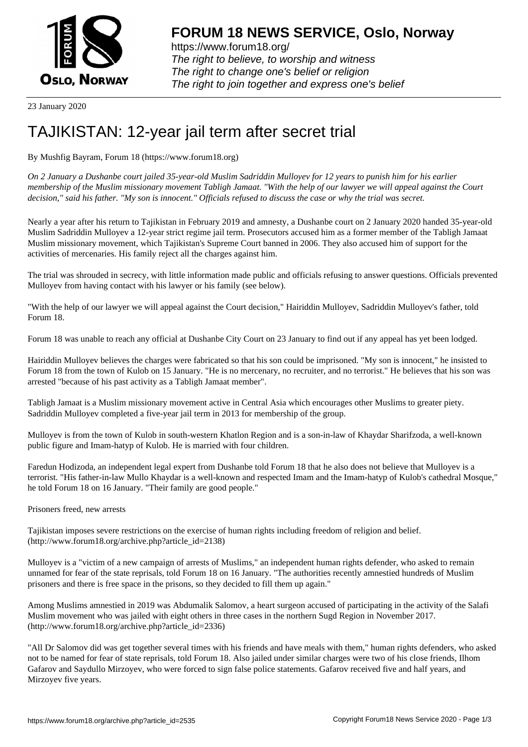

https://www.forum18.org/ The right to believe, to worship and witness The right to change one's belief or religion [The right to join together a](https://www.forum18.org/)nd express one's belief

23 January 2020

## [TAJIKISTAN: 1](https://www.forum18.org)2-year jail term after secret trial

By Mushfig Bayram, Forum 18 (https://www.forum18.org)

*On 2 January a Dushanbe court jailed 35-year-old Muslim Sadriddin Mulloyev for 12 years to punish him for his earlier membership of the Muslim missionary movement Tabligh Jamaat. "With the help of our lawyer we will appeal against the Court decision," said his father. "My son is innocent." Officials refused to discuss the case or why the trial was secret.*

Nearly a year after his return to Tajikistan in February 2019 and amnesty, a Dushanbe court on 2 January 2020 handed 35-year-old Muslim Sadriddin Mulloyev a 12-year strict regime jail term. Prosecutors accused him as a former member of the Tabligh Jamaat Muslim missionary movement, which Tajikistan's Supreme Court banned in 2006. They also accused him of support for the activities of mercenaries. His family reject all the charges against him.

The trial was shrouded in secrecy, with little information made public and officials refusing to answer questions. Officials prevented Mulloyev from having contact with his lawyer or his family (see below).

"With the help of our lawyer we will appeal against the Court decision," Hairiddin Mulloyev, Sadriddin Mulloyev's father, told Forum 18.

Forum 18 was unable to reach any official at Dushanbe City Court on 23 January to find out if any appeal has yet been lodged.

Hairiddin Mulloyev believes the charges were fabricated so that his son could be imprisoned. "My son is innocent," he insisted to Forum 18 from the town of Kulob on 15 January. "He is no mercenary, no recruiter, and no terrorist." He believes that his son was arrested "because of his past activity as a Tabligh Jamaat member".

Tabligh Jamaat is a Muslim missionary movement active in Central Asia which encourages other Muslims to greater piety. Sadriddin Mulloyev completed a five-year jail term in 2013 for membership of the group.

Mulloyev is from the town of Kulob in south-western Khatlon Region and is a son-in-law of Khaydar Sharifzoda, a well-known public figure and Imam-hatyp of Kulob. He is married with four children.

Faredun Hodizoda, an independent legal expert from Dushanbe told Forum 18 that he also does not believe that Mulloyev is a terrorist. "His father-in-law Mullo Khaydar is a well-known and respected Imam and the Imam-hatyp of Kulob's cathedral Mosque," he told Forum 18 on 16 January. "Their family are good people."

Prisoners freed, new arrests

Tajikistan imposes severe restrictions on the exercise of human rights including freedom of religion and belief. (http://www.forum18.org/archive.php?article\_id=2138)

Mulloyev is a "victim of a new campaign of arrests of Muslims," an independent human rights defender, who asked to remain unnamed for fear of the state reprisals, told Forum 18 on 16 January. "The authorities recently amnestied hundreds of Muslim prisoners and there is free space in the prisons, so they decided to fill them up again."

Among Muslims amnestied in 2019 was Abdumalik Salomov, a heart surgeon accused of participating in the activity of the Salafi Muslim movement who was jailed with eight others in three cases in the northern Sugd Region in November 2017. (http://www.forum18.org/archive.php?article\_id=2336)

"All Dr Salomov did was get together several times with his friends and have meals with them," human rights defenders, who asked not to be named for fear of state reprisals, told Forum 18. Also jailed under similar charges were two of his close friends, Ilhom Gafarov and Saydullo Mirzoyev, who were forced to sign false police statements. Gafarov received five and half years, and Mirzoyev five years.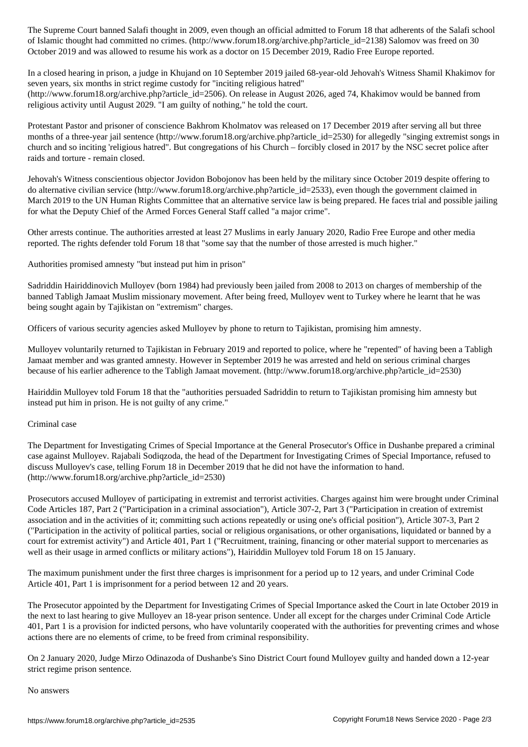of Islamic thought had committed no crimes. (http://www.forumlar.com/salomov was freed on  $2138$  Salomov was freed on  $30\,$ October 2019 and was allowed to resume his work as a doctor on 15 December 2019, Radio Free Europe reported.

In a closed hearing in prison, a judge in Khujand on 10 September 2019 jailed 68-year-old Jehovah's Witness Shamil Khakimov for seven years, six months in strict regime custody for "inciting religious hatred"

(http://www.forum18.org/archive.php?article\_id=2506). On release in August 2026, aged 74, Khakimov would be banned from religious activity until August 2029. "I am guilty of nothing," he told the court.

Protestant Pastor and prisoner of conscience Bakhrom Kholmatov was released on 17 December 2019 after serving all but three months of a three-year jail sentence (http://www.forum18.org/archive.php?article\_id=2530) for allegedly "singing extremist songs in church and so inciting 'religious hatred". But congregations of his Church – forcibly closed in 2017 by the NSC secret police after raids and torture - remain closed.

Jehovah's Witness conscientious objector Jovidon Bobojonov has been held by the military since October 2019 despite offering to do alternative civilian service (http://www.forum18.org/archive.php?article\_id=2533), even though the government claimed in March 2019 to the UN Human Rights Committee that an alternative service law is being prepared. He faces trial and possible jailing for what the Deputy Chief of the Armed Forces General Staff called "a major crime".

Other arrests continue. The authorities arrested at least 27 Muslims in early January 2020, Radio Free Europe and other media reported. The rights defender told Forum 18 that "some say that the number of those arrested is much higher."

Authorities promised amnesty "but instead put him in prison"

Sadriddin Hairiddinovich Mulloyev (born 1984) had previously been jailed from 2008 to 2013 on charges of membership of the banned Tabligh Jamaat Muslim missionary movement. After being freed, Mulloyev went to Turkey where he learnt that he was being sought again by Tajikistan on "extremism" charges.

Officers of various security agencies asked Mulloyev by phone to return to Tajikistan, promising him amnesty.

Mulloyev voluntarily returned to Tajikistan in February 2019 and reported to police, where he "repented" of having been a Tabligh Jamaat member and was granted amnesty. However in September 2019 he was arrested and held on serious criminal charges because of his earlier adherence to the Tabligh Jamaat movement. (http://www.forum18.org/archive.php?article\_id=2530)

Hairiddin Mulloyev told Forum 18 that the "authorities persuaded Sadriddin to return to Tajikistan promising him amnesty but instead put him in prison. He is not guilty of any crime."

## Criminal case

The Department for Investigating Crimes of Special Importance at the General Prosecutor's Office in Dushanbe prepared a criminal case against Mulloyev. Rajabali Sodiqzoda, the head of the Department for Investigating Crimes of Special Importance, refused to discuss Mulloyev's case, telling Forum 18 in December 2019 that he did not have the information to hand. (http://www.forum18.org/archive.php?article\_id=2530)

Prosecutors accused Mulloyev of participating in extremist and terrorist activities. Charges against him were brought under Criminal Code Articles 187, Part 2 ("Participation in a criminal association"), Article 307-2, Part 3 ("Participation in creation of extremist association and in the activities of it; committing such actions repeatedly or using one's official position"), Article 307-3, Part 2 ("Participation in the activity of political parties, social or religious organisations, or other organisations, liquidated or banned by a court for extremist activity") and Article 401, Part 1 ("Recruitment, training, financing or other material support to mercenaries as well as their usage in armed conflicts or military actions"), Hairiddin Mulloyev told Forum 18 on 15 January.

The maximum punishment under the first three charges is imprisonment for a period up to 12 years, and under Criminal Code Article 401, Part 1 is imprisonment for a period between 12 and 20 years.

The Prosecutor appointed by the Department for Investigating Crimes of Special Importance asked the Court in late October 2019 in the next to last hearing to give Mulloyev an 18-year prison sentence. Under all except for the charges under Criminal Code Article 401, Part 1 is a provision for indicted persons, who have voluntarily cooperated with the authorities for preventing crimes and whose actions there are no elements of crime, to be freed from criminal responsibility.

On 2 January 2020, Judge Mirzo Odinazoda of Dushanbe's Sino District Court found Mulloyev guilty and handed down a 12-year strict regime prison sentence.

No answers